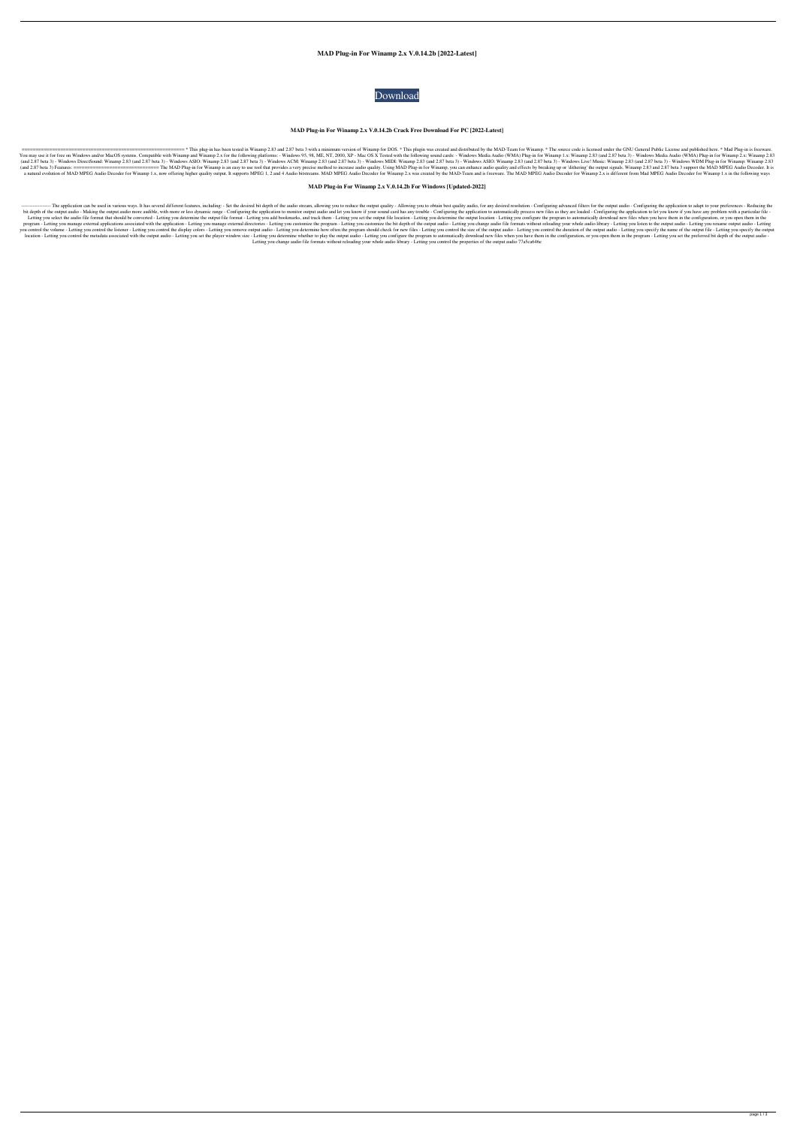## **MAD Plug-in For Winamp 2.x V.0.14.2b [2022-Latest]**



=========================================================== \* This plug-in has been tested in Winamp 2.83 and 2.87 beta 3 with a minimum version of Winamp for DOS. \* This plugin was created and distributed by the MAD-Team for Winamp. \* The source code is licensed under the GNU General Public License and published here. \* Mad Plug-in is freeware. You may use it for free on Windows and/or MacOS systems. Compatible with Winamp and Winamp 2.x for the following platforms: - Windows 95, 98, ME, NT, 2000, XP - Mac OS X Tested with the following sound cards: - Windows Med (and 2.87 beta 3) - Windows DirectSound: Winamp 2.83 (and 2.87 beta 3) - Windows ASIO: Winamp 2.83 (and 2.87 beta 3) - Windows ACM: Winamp 2.83 (and 2.87 beta 3) - Windows ASIO: Winamp 2.83 (and 2.87 beta 3) - Windows ASIO (and 2.87 beta 3) Features: =============================== The MAD Plug-in for Winamp is an easy to use tool that provides a very precise method to increase audio quality. Using MAD Plug-in for Winamp, you can enhance audio quality and effects by breaking up or 'dithering' the output signals. Winamp 2.83 and 2.87 beta 3 support the MAD MPEG Audio Decoder. It is a natural evolution of MAD MPEG Audio Decoder for Winamp 1.x, now offering higher quality output. It supports MPEG 1, 2 and 4 Audio bitstreams. MAD MPEG Audio Decoder for Winamp 2.x was created by the MAD-Team and is freew

#### **MAD Plug-in For Winamp 2.x V.0.14.2b Crack Free Download For PC [2022-Latest]**

#### **MAD Plug-in For Winamp 2.x V.0.14.2b For Windows [Updated-2022]**

------------------ The application can be used in various ways. It has several different features, including: - Set the desired bit depth of the audio stream, allowing you to reduce the output quality - Allowing you to obtain best quality audio, for any desired resolution - Configuring advanced filters for the output audio - Configuring the application to adapt to your preferences - Reducing the bit depth of the output audio - Making the output audio more audible, with more or less dynamic range - Configuring the application to monitor output audio and let you know if your sound card has any trouble - Configuring Letting you select the audio file format that should be converted - Letting you determine the output file format - Letting you add bookmarks, and track them - Letting you set the output file location - Letting you determin program - Letting you manage external applications associated with the application - Letting you manage external directories - Letting you customize the program - Letting you customize the bit depth of the output audio - L you control the volume - Letting you control the listener - Letting you control the display colors - Letting you control the display colors - Letting you remove output audio - Letting you determine how often the program sh location - Letting you control the metadata associated with the output audio - Letting you set the player window size - Letting you determine whether to play the output audio - Letting you configure the program to automati Letting you change audio file formats without reloading your whole audio library - Letting you control the properties of the output audio 77a5ca646e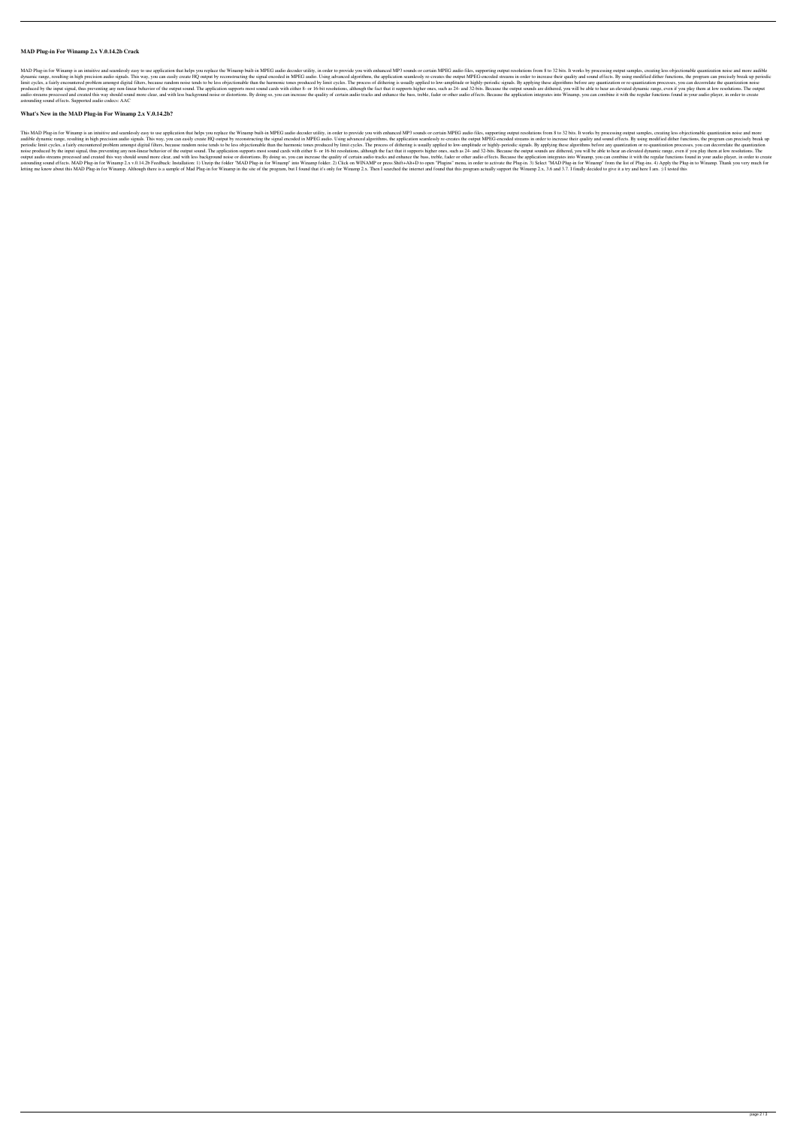### **MAD Plug-in For Winamp 2.x V.0.14.2b Crack**

MAD Plug-in for Winamp is an intuitive and seamlessly easy to use application that helps you replace the Winamp built-in MPEG audio decoder utility, in order to provide you with enhanced MP3 sounds or certain MPEG audio fi dynamic range, resulting in high precision audio signals. This way, you can easily create HQ output by reconstructing the signal encoded in MPEG audio. Using advanced algorithms, the application seamlessly re-creates the o limit cycles, a fairly encountered problem amongst digital filters, because random noise tends to be less objectionable than the harmonic tones produced by limit cycles. The process of dithering is usually applied to low-a produced by the input signal, thus preventing any non-linear behavior of the output sound. The application supports most sound cards with either 8- or 16-bit resolutions, although the fact that it supports higher ones, suc audio streams processed and created this way should sound more clear, and with less background noise or distortions. By doing so, you can increase the quality of certain audio tracks and enhance the bass, treble, fader or astounding sound effects. Supported audio codecs: AAC

## **What's New in the MAD Plug-in For Winamp 2.x V.0.14.2b?**

This MAD Plug-in for Winamp is an intuitive and seamlessly easy to use application that helps you replace the Winamp built-in MPEG audio decoder utility, in order to provide you with enhanced MP3 sounds or certain MPEG aud audible dynamic range, resulting in high precision audio signals. This way, you can easily create HQ output by reconstructing the signal encoded in MPEG audio. Using advanced algorithms, the application seamlessly re-creat periodic limit cycles, a fairly encountered problem amongst digital filters, because random noise tends to be less objectionable than the harmonic tones produced by limit cycles. The process of dithering is usually applied noise produced by the input signal, thus preventing any non-linear behavior of the output sound. The application supports most sound cards with either 8- or 16-bit resolutions, although the fact that it supports higher one output audio streams processed and created this way should sound more clear, and with less background noise or distortions. By doing so, you can increase the quality of certain audio tracks and enhance the bass, treble, fa astounding sound effects. MAD Plug-in for Winamp 2.x v.0.14.2b Feedback: Installation: 1) Unzip the folder "MAD Plug-in for Winamp" into Winamp folder. 2) Click on WINAMP or press Shift+Alt+D to open "Plugins" menu, in ord letting me know about this MAD Plug-in for Winamp. Although there is a sample of Mad Plug-in for Winamp in the site of the program, but I found that it's only for Winamp 2.x. Then I searched the internet and found that thi